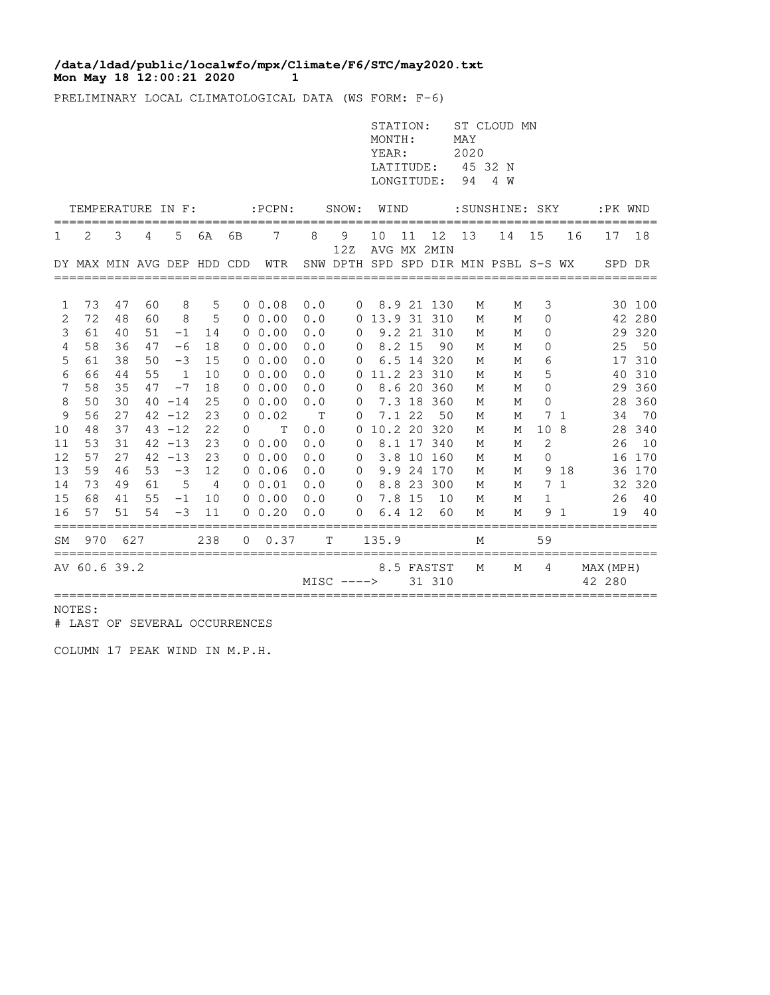## **Mon May 18 12:00:21 2020 1 /data/ldad/public/localwfo/mpx/Climate/F6/STC/may2020.txt**

PRELIMINARY LOCAL CLIMATOLOGICAL DATA (WS FORM: F-6)

|                   |                            |          |              |              |                |              |             |       |               | STATION:<br>MONTH:<br>YEAR:<br>LATITUDE:<br>LONGITUDE: |              |                      | MAY<br>2020<br>45 32 N<br>94 | ST CLOUD MN<br>4 W                   |              |              |                     |          |
|-------------------|----------------------------|----------|--------------|--------------|----------------|--------------|-------------|-------|---------------|--------------------------------------------------------|--------------|----------------------|------------------------------|--------------------------------------|--------------|--------------|---------------------|----------|
| TEMPERATURE IN F: |                            |          |              |              |                | $:$ PCPN $:$ |             | SNOW: | WIND          |                                                        |              | : SUNSHINE: SKY      |                              |                                      |              |              | :PK WND             |          |
| 1                 | 2                          | 3        | 4            | 5            | 6A             | 6B           | 7           | 8     | 9<br>12Z      | 10                                                     | 11           | 12<br>AVG MX 2MIN    | 13                           | 14                                   | 15           | 16           | 17                  | 18       |
|                   | DY MAX MIN AVG DEP HDD CDD |          |              |              |                |              | WTR         |       |               |                                                        |              |                      |                              | SNW DPTH SPD SPD DIR MIN PSBL S-S WX |              |              | SPD DR              |          |
| 1                 | 73                         | 47       | 60           | 8            | 5              |              | 0, 0.08     | 0.0   | 0             |                                                        |              | 8.9 21 130           | М                            | М                                    | 3            |              |                     | 30 100   |
| 2                 | 72                         | 48       | 60           | 8            | 5              |              | $0\;\;0.00$ | 0.0   | 0             | 13.9 31 310                                            |              |                      | M                            | М                                    | 0            |              |                     | 42 280   |
| 3                 | 61                         | 40       | 51           | $-1$         | 14             |              | $0\;\;0.00$ | 0.0   | 0             |                                                        |              | 9.2 21 310           | М                            | М                                    | 0            |              |                     | 29 320   |
| 4                 | 58                         | 36       | 47           | $-6$         | 18             |              | $0\;\;0.00$ | 0.0   | 0             |                                                        | 8.2 15       | 90                   | М                            | М                                    | 0            |              | 25                  | 50       |
| 5                 | 61                         | 38       | 50           | $-3$         | 15             |              | $0\;\;0.00$ | 0.0   | $\Omega$      |                                                        |              | 6.5 14 320           | М                            | М                                    | 6            |              |                     | 17 310   |
| 6                 | 66                         | 44       | 55           | $\mathbf{1}$ | 10             |              | $0\;\;0.00$ | 0.0   | $\Omega$      |                                                        |              | 11.2 23 310          | М                            | M                                    | 5            |              | 40                  | 310      |
| 7                 | 58                         | 35       | 47           | $-7$         | 18             |              | $0\;\;0.00$ | 0.0   | 0             |                                                        |              | 8.6 20 360           | M                            | М                                    | $\mathbf{0}$ |              |                     | 29 360   |
| 8                 | 50                         | 30       |              | $40 - 14$    | 25             |              | $0\;\;0.00$ | 0.0   | 0             |                                                        |              | 7.3 18 360           | M                            | M                                    | 0            |              | 28                  | 360      |
| 9                 | 56                         | 27       |              | $42 - 12$    | 23             | $\Omega$     | 0.02        | T     | 0             |                                                        | 7.1 22       | 50                   | М                            | М                                    | 7            | 1            | 34                  | 70       |
| 10                | 48                         | 37       |              | $43 - 12$    | 22             | 0            | T           | 0.0   | 0             |                                                        |              | 10.2 20 320          | М                            | М                                    | 10           | 8            | 28                  | 340      |
| 11                | 53                         | 31       |              | $42 - 13$    | 23             |              | $0\;\;0.00$ | 0.0   | 0             |                                                        |              | 8.1 17 340           | М                            | М                                    | 2            |              | 26                  | 10       |
| 12                | 57                         | 27       |              | $42 - 13$    | 23             |              | $0\;\;0.00$ | 0.0   | 0             |                                                        |              | 3.8 10 160           | M                            | M                                    | $\Omega$     |              | 16                  | 170      |
| 13                | 59                         | 46       | 53           | $-3$         | 12             |              | 0, 0.06     | 0.0   | $\mathbf 0$   |                                                        |              | 9.9 24 170           | M                            | M                                    | 9            | 18           |                     | 36 170   |
| 14                | 73                         | 49       | 61           | 5            | $\overline{4}$ |              | $0 \t 0.01$ | 0.0   | $\mathbf 0$   |                                                        |              | 8.8 23 300           | M                            | М                                    | 7            | $\mathbf{1}$ | 32                  | 320      |
| 15                | 68<br>57                   | 41<br>51 | 55<br>54     | $-1$<br>$-3$ | 10             |              | $0\;\;0.00$ | 0.0   | $\Omega$<br>O | 6.4                                                    | 7.8 15<br>12 | 10<br>60             | M                            | М                                    | 1<br>9       |              | 26<br>19            | 40<br>40 |
| 16                |                            |          |              |              | 11             |              | 0.20        | 0.0   |               |                                                        |              |                      | М                            | M                                    |              |              |                     |          |
| SΜ                | 970                        |          | 627          |              | 238            | 0            | 0.37        |       | т             | 135.9                                                  |              |                      | M                            |                                      | 59           |              |                     |          |
|                   | AV 60.6 39.2               |          | ============ |              |                |              |             |       | $MISC$ ---->  |                                                        |              | 8.5 FASTST<br>31 310 | M                            | M                                    | 4            |              | MAX (MPH)<br>42 280 |          |

NOTES:

# LAST OF SEVERAL OCCURRENCES

COLUMN 17 PEAK WIND IN M.P.H.